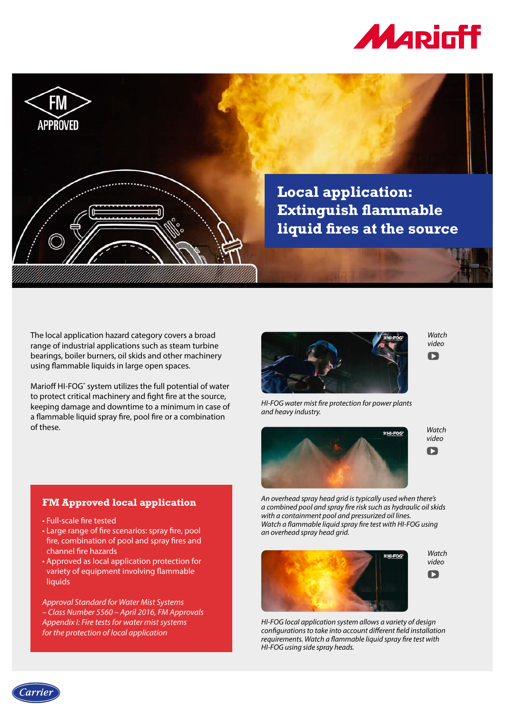



The local application hazard category covers a broad range of industrial applications such as steam turbine bearings, boiler burners, oil skids and other machinery using flammable liquids in large open spaces.

Marioff HI-FOG® system utilizes the full potential of water to protect critical machinery and fight fire at the source, keeping damage and downtime to a minimum in case of a flammable liquid spray fire, pool fire or a combination of these.



*[Watch](https://youtu.be/EMHaYhyxdKY)  video*



*HI-FOG water mist fire protection for power plants and heavy industry.*





 $\blacksquare$ 

## *An overhead spray head grid is typically used when there's a combined pool and spray fire risk such as hydraulic oil skids with a containment pool and pressurized oil lines. Watch a flammable liquid spray fire test with HI-FOG using an overhead spray head grid.*



*HI-FOG local application system allows a variety of design configurations to take into account different field installation requirements. Watch a flammable liquid spray fire test with HI-FOG using side spray heads.*

## **FM Approved local application**

- Full-scale fire tested
- Large range of fire scenarios: spray fire, pool fire, combination of pool and spray fires and channel fire hazards
- Approved as local application protection for variety of equipment involving flammable liquids

*Approval Standard for Water Mist Systems – Class Number 5560 – April 2016, FM Approvals Appendix I: Fire tests for water mist systems for the protection of local application*